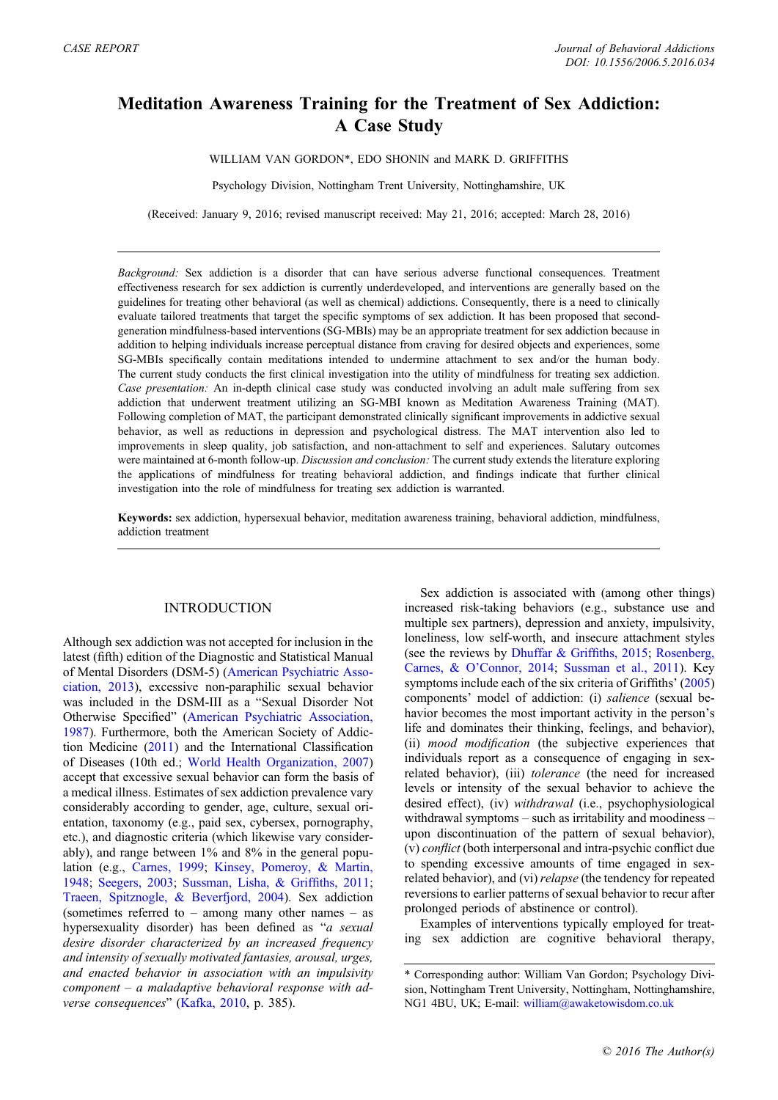# Meditation Awareness Training for the Treatment of Sex Addiction: A Case Study

WILLIAM VAN GORDON\*, EDO SHONIN and MARK D. GRIFFITHS

Psychology Division, Nottingham Trent University, Nottinghamshire, UK

(Received: January 9, 2016; revised manuscript received: May 21, 2016; accepted: March 28, 2016)

Background: Sex addiction is a disorder that can have serious adverse functional consequences. Treatment effectiveness research for sex addiction is currently underdeveloped, and interventions are generally based on the guidelines for treating other behavioral (as well as chemical) addictions. Consequently, there is a need to clinically evaluate tailored treatments that target the specific symptoms of sex addiction. It has been proposed that secondgeneration mindfulness-based interventions (SG-MBIs) may be an appropriate treatment for sex addiction because in addition to helping individuals increase perceptual distance from craving for desired objects and experiences, some SG-MBIs specifically contain meditations intended to undermine attachment to sex and/or the human body. The current study conducts the first clinical investigation into the utility of mindfulness for treating sex addiction. Case presentation: An in-depth clinical case study was conducted involving an adult male suffering from sex addiction that underwent treatment utilizing an SG-MBI known as Meditation Awareness Training (MAT). Following completion of MAT, the participant demonstrated clinically significant improvements in addictive sexual behavior, as well as reductions in depression and psychological distress. The MAT intervention also led to improvements in sleep quality, job satisfaction, and non-attachment to self and experiences. Salutary outcomes were maintained at 6-month follow-up. Discussion and conclusion: The current study extends the literature exploring the applications of mindfulness for treating behavioral addiction, and findings indicate that further clinical investigation into the role of mindfulness for treating sex addiction is warranted.

Keywords: sex addiction, hypersexual behavior, meditation awareness training, behavioral addiction, mindfulness, addiction treatment

# INTRODUCTION

Although sex addiction was not accepted for inclusion in the latest (fifth) edition of the Diagnostic and Statistical Manual of Mental Disorders (DSM-5) ([American Psychiatric Asso](#page-8-0)[ciation, 2013\)](#page-8-0), excessive non-paraphilic sexual behavior was included in the DSM-III as a "Sexual Disorder Not Otherwise Specified" [\(American Psychiatric Association,](#page-8-0) [1987](#page-8-0)). Furthermore, both the American Society of Addiction Medicine [\(2011](#page-8-0)) and the International Classification of Diseases (10th ed.; [World Health Organization, 2007](#page-9-0)) accept that excessive sexual behavior can form the basis of a medical illness. Estimates of sex addiction prevalence vary considerably according to gender, age, culture, sexual orientation, taxonomy (e.g., paid sex, cybersex, pornography, etc.), and diagnostic criteria (which likewise vary considerably), and range between 1% and 8% in the general population (e.g., [Carnes, 1999](#page-8-0); [Kinsey, Pomeroy, & Martin,](#page-9-0) [1948](#page-9-0); [Seegers, 2003;](#page-9-0) [Sussman, Lisha, & Grif](#page-9-0)fiths, 2011; [Traeen, Spitznogle, & Beverfjord, 2004](#page-9-0)). Sex addiction (sometimes referred to – among many other names – as hypersexuality disorder) has been defined as "a sexual desire disorder characterized by an increased frequency and intensity of sexually motivated fantasies, arousal, urges, and enacted behavior in association with an impulsivity  $component - a$  maladaptive behavioral response with adverse consequences" [\(Kafka, 2010,](#page-9-0) p. 385).

Sex addiction is associated with (among other things) increased risk-taking behaviors (e.g., substance use and multiple sex partners), depression and anxiety, impulsivity, loneliness, low self-worth, and insecure attachment styles (see the reviews by [Dhuffar & Grif](#page-9-0)fiths, 2015; [Rosenberg,](#page-9-0) Carnes, & O'[Connor, 2014](#page-9-0); [Sussman et al., 2011](#page-9-0)). Key symptoms include each of the six criteria of Griffiths' ([2005\)](#page-9-0) components' model of addiction: (i) salience (sexual behavior becomes the most important activity in the person's life and dominates their thinking, feelings, and behavior), (ii) mood modification (the subjective experiences that individuals report as a consequence of engaging in sexrelated behavior), (iii) tolerance (the need for increased levels or intensity of the sexual behavior to achieve the desired effect), (iv) withdrawal (i.e., psychophysiological withdrawal symptoms – such as irritability and moodiness – upon discontinuation of the pattern of sexual behavior), (v) conflict (both interpersonal and intra-psychic conflict due to spending excessive amounts of time engaged in sexrelated behavior), and (vi) *relapse* (the tendency for repeated reversions to earlier patterns of sexual behavior to recur after prolonged periods of abstinence or control).

Examples of interventions typically employed for treating sex addiction are cognitive behavioral therapy,

<sup>\*</sup> Corresponding author: William Van Gordon; Psychology Division, Nottingham Trent University, Nottingham, Nottinghamshire, NG1 4BU, UK; E-mail: [william@awaketowisdom.co.uk](mailto:william@awaketowisdom.co.uk)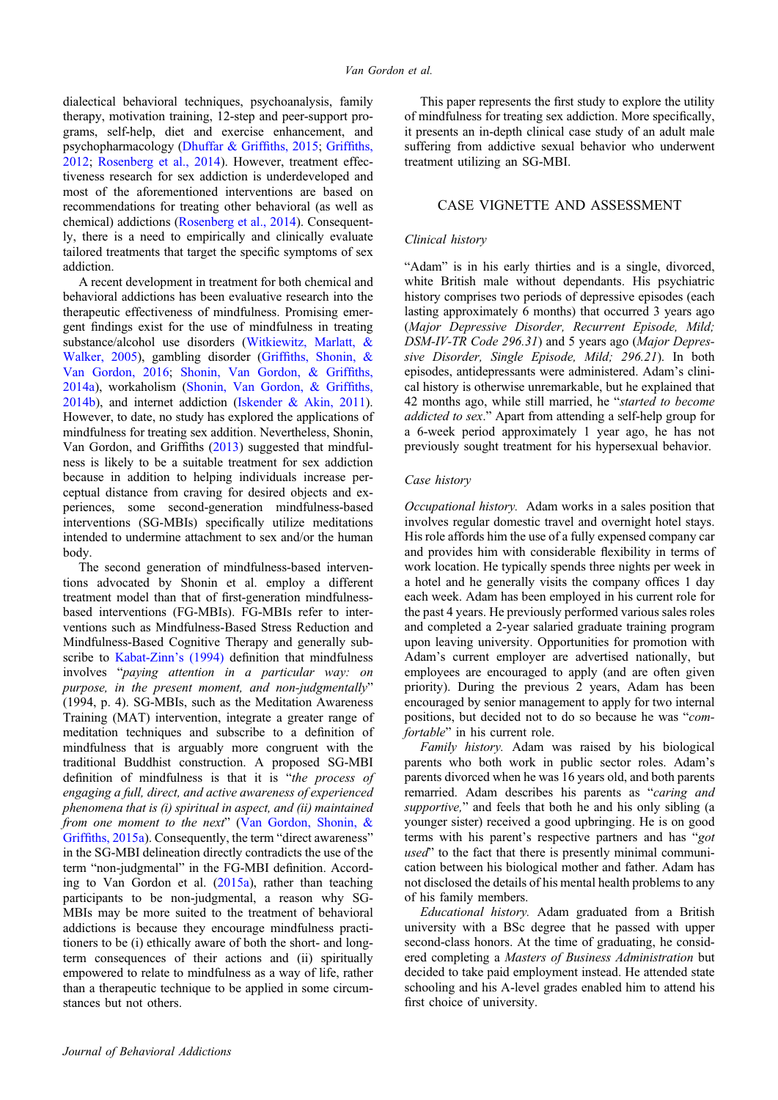dialectical behavioral techniques, psychoanalysis, family therapy, motivation training, 12-step and peer-support programs, self-help, diet and exercise enhancement, and psychopharmacology ([Dhuffar & Grif](#page-9-0)fiths, 2015; [Grif](#page-9-0)fiths, [2012](#page-9-0); [Rosenberg et al., 2014\)](#page-9-0). However, treatment effectiveness research for sex addiction is underdeveloped and most of the aforementioned interventions are based on recommendations for treating other behavioral (as well as chemical) addictions ([Rosenberg et al., 2014\)](#page-9-0). Consequently, there is a need to empirically and clinically evaluate tailored treatments that target the specific symptoms of sex addiction.

A recent development in treatment for both chemical and behavioral addictions has been evaluative research into the therapeutic effectiveness of mindfulness. Promising emergent findings exist for the use of mindfulness in treating substance/alcohol use disorders ([Witkiewitz, Marlatt, &](#page-9-0) [Walker, 2005](#page-9-0)), gambling disorder (Griffi[ths, Shonin, &](#page-9-0) [Van Gordon, 2016](#page-9-0); [Shonin, Van Gordon, & Grif](#page-9-0)fiths, [2014a\)](#page-9-0), workaholism ([Shonin, Van Gordon, & Grif](#page-9-0)fiths, [2014b](#page-9-0)), and internet addiction ([Iskender & Akin, 2011\)](#page-9-0). However, to date, no study has explored the applications of mindfulness for treating sex addition. Nevertheless, Shonin, Van Gordon, and Griffiths [\(2013](#page-9-0)) suggested that mindfulness is likely to be a suitable treatment for sex addiction because in addition to helping individuals increase perceptual distance from craving for desired objects and experiences, some second-generation mindfulness-based interventions (SG-MBIs) specifically utilize meditations intended to undermine attachment to sex and/or the human body.

The second generation of mindfulness-based interventions advocated by Shonin et al. employ a different treatment model than that of first-generation mindfulnessbased interventions (FG-MBIs). FG-MBIs refer to interventions such as Mindfulness-Based Stress Reduction and Mindfulness-Based Cognitive Therapy and generally subscribe to [Kabat-Zinn](#page-9-0)'s (1994) definition that mindfulness involves "paying attention in a particular way: on purpose, in the present moment, and non-judgmentally" (1994, p. 4). SG-MBIs, such as the Meditation Awareness Training (MAT) intervention, integrate a greater range of meditation techniques and subscribe to a definition of mindfulness that is arguably more congruent with the traditional Buddhist construction. A proposed SG-MBI definition of mindfulness is that it is "the process of engaging a full, direct, and active awareness of experienced phenomena that is (i) spiritual in aspect, and (ii) maintained from one moment to the next" [\(Van Gordon, Shonin, &](#page-9-0) Griffi[ths, 2015a\)](#page-9-0). Consequently, the term "direct awareness" in the SG-MBI delineation directly contradicts the use of the term "non-judgmental" in the FG-MBI definition. According to Van Gordon et al. [\(2015a\)](#page-9-0), rather than teaching participants to be non-judgmental, a reason why SG-MBIs may be more suited to the treatment of behavioral addictions is because they encourage mindfulness practitioners to be (i) ethically aware of both the short- and longterm consequences of their actions and (ii) spiritually empowered to relate to mindfulness as a way of life, rather than a therapeutic technique to be applied in some circumstances but not others.

This paper represents the first study to explore the utility of mindfulness for treating sex addiction. More specifically, it presents an in-depth clinical case study of an adult male suffering from addictive sexual behavior who underwent treatment utilizing an SG-MBI.

# CASE VIGNETTE AND ASSESSMENT

## Clinical history

"Adam" is in his early thirties and is a single, divorced, white British male without dependants. His psychiatric history comprises two periods of depressive episodes (each lasting approximately 6 months) that occurred 3 years ago (Major Depressive Disorder, Recurrent Episode, Mild; DSM-IV-TR Code 296.31) and 5 years ago (Major Depressive Disorder, Single Episode, Mild; 296.21). In both episodes, antidepressants were administered. Adam's clinical history is otherwise unremarkable, but he explained that 42 months ago, while still married, he "started to become addicted to sex." Apart from attending a self-help group for a 6-week period approximately 1 year ago, he has not previously sought treatment for his hypersexual behavior.

#### Case history

Occupational history. Adam works in a sales position that involves regular domestic travel and overnight hotel stays. His role affords him the use of a fully expensed company car and provides him with considerable flexibility in terms of work location. He typically spends three nights per week in a hotel and he generally visits the company offices 1 day each week. Adam has been employed in his current role for the past 4 years. He previously performed various sales roles and completed a 2-year salaried graduate training program upon leaving university. Opportunities for promotion with Adam's current employer are advertised nationally, but employees are encouraged to apply (and are often given priority). During the previous 2 years, Adam has been encouraged by senior management to apply for two internal positions, but decided not to do so because he was "comfortable" in his current role.

Family history. Adam was raised by his biological parents who both work in public sector roles. Adam's parents divorced when he was 16 years old, and both parents remarried. Adam describes his parents as "caring and supportive," and feels that both he and his only sibling (a younger sister) received a good upbringing. He is on good terms with his parent's respective partners and has "got used" to the fact that there is presently minimal communication between his biological mother and father. Adam has not disclosed the details of his mental health problems to any of his family members.

Educational history. Adam graduated from a British university with a BSc degree that he passed with upper second-class honors. At the time of graduating, he considered completing a Masters of Business Administration but decided to take paid employment instead. He attended state schooling and his A-level grades enabled him to attend his first choice of university.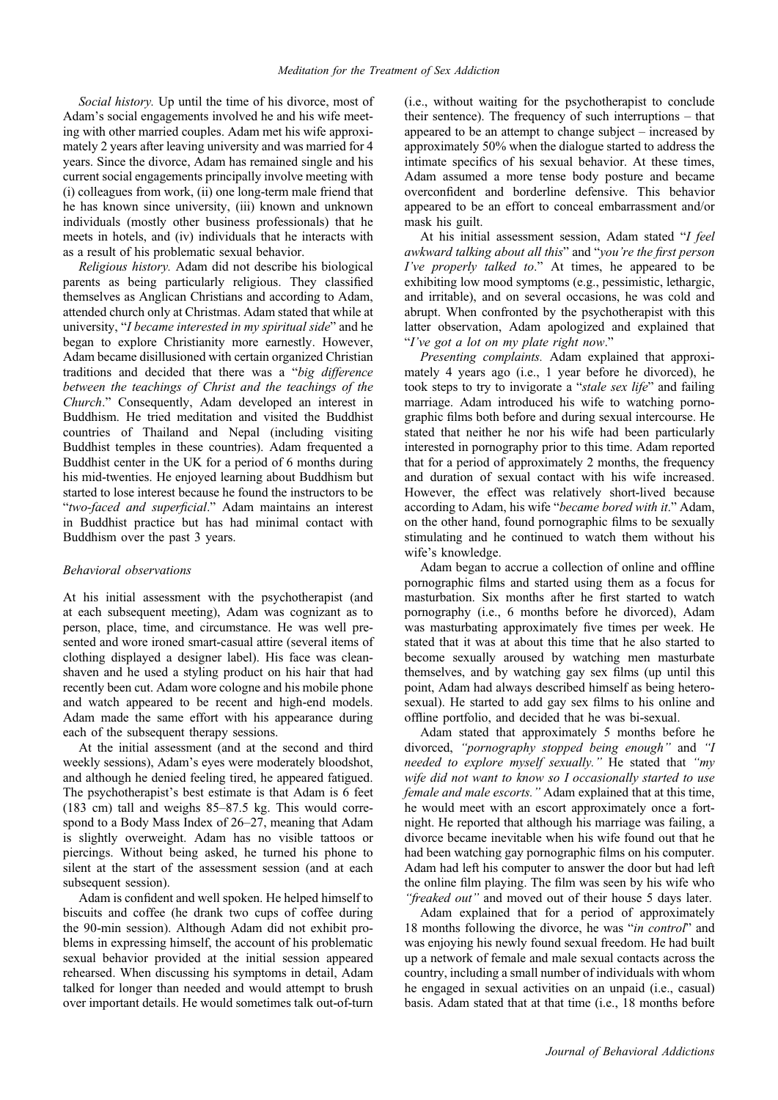Social history. Up until the time of his divorce, most of Adam's social engagements involved he and his wife meeting with other married couples. Adam met his wife approximately 2 years after leaving university and was married for 4 years. Since the divorce, Adam has remained single and his current social engagements principally involve meeting with (i) colleagues from work, (ii) one long-term male friend that he has known since university, (iii) known and unknown individuals (mostly other business professionals) that he meets in hotels, and (iv) individuals that he interacts with as a result of his problematic sexual behavior.

Religious history. Adam did not describe his biological parents as being particularly religious. They classified themselves as Anglican Christians and according to Adam, attended church only at Christmas. Adam stated that while at university, "I became interested in my spiritual side" and he began to explore Christianity more earnestly. However, Adam became disillusioned with certain organized Christian traditions and decided that there was a "big difference between the teachings of Christ and the teachings of the Church." Consequently, Adam developed an interest in Buddhism. He tried meditation and visited the Buddhist countries of Thailand and Nepal (including visiting Buddhist temples in these countries). Adam frequented a Buddhist center in the UK for a period of 6 months during his mid-twenties. He enjoyed learning about Buddhism but started to lose interest because he found the instructors to be "two-faced and superficial." Adam maintains an interest in Buddhist practice but has had minimal contact with Buddhism over the past 3 years.

#### Behavioral observations

At his initial assessment with the psychotherapist (and at each subsequent meeting), Adam was cognizant as to person, place, time, and circumstance. He was well presented and wore ironed smart-casual attire (several items of clothing displayed a designer label). His face was cleanshaven and he used a styling product on his hair that had recently been cut. Adam wore cologne and his mobile phone and watch appeared to be recent and high-end models. Adam made the same effort with his appearance during each of the subsequent therapy sessions.

At the initial assessment (and at the second and third weekly sessions), Adam's eyes were moderately bloodshot, and although he denied feeling tired, he appeared fatigued. The psychotherapist's best estimate is that Adam is 6 feet (183 cm) tall and weighs 85–87.5 kg. This would correspond to a Body Mass Index of 26–27, meaning that Adam is slightly overweight. Adam has no visible tattoos or piercings. Without being asked, he turned his phone to silent at the start of the assessment session (and at each subsequent session).

Adam is confident and well spoken. He helped himself to biscuits and coffee (he drank two cups of coffee during the 90-min session). Although Adam did not exhibit problems in expressing himself, the account of his problematic sexual behavior provided at the initial session appeared rehearsed. When discussing his symptoms in detail, Adam talked for longer than needed and would attempt to brush over important details. He would sometimes talk out-of-turn (i.e., without waiting for the psychotherapist to conclude their sentence). The frequency of such interruptions – that appeared to be an attempt to change subject – increased by approximately 50% when the dialogue started to address the intimate specifics of his sexual behavior. At these times, Adam assumed a more tense body posture and became overconfident and borderline defensive. This behavior appeared to be an effort to conceal embarrassment and/or mask his guilt.

At his initial assessment session, Adam stated "I feel awkward talking about all this" and "you're the first person I've properly talked to." At times, he appeared to be exhibiting low mood symptoms (e.g., pessimistic, lethargic, and irritable), and on several occasions, he was cold and abrupt. When confronted by the psychotherapist with this latter observation, Adam apologized and explained that "I've got a lot on my plate right now."

Presenting complaints. Adam explained that approximately 4 years ago (i.e., 1 year before he divorced), he took steps to try to invigorate a "stale sex life" and failing marriage. Adam introduced his wife to watching pornographic films both before and during sexual intercourse. He stated that neither he nor his wife had been particularly interested in pornography prior to this time. Adam reported that for a period of approximately 2 months, the frequency and duration of sexual contact with his wife increased. However, the effect was relatively short-lived because according to Adam, his wife "became bored with it." Adam, on the other hand, found pornographic films to be sexually stimulating and he continued to watch them without his wife's knowledge.

Adam began to accrue a collection of online and offline pornographic films and started using them as a focus for masturbation. Six months after he first started to watch pornography (i.e., 6 months before he divorced), Adam was masturbating approximately five times per week. He stated that it was at about this time that he also started to become sexually aroused by watching men masturbate themselves, and by watching gay sex films (up until this point, Adam had always described himself as being heterosexual). He started to add gay sex films to his online and offline portfolio, and decided that he was bi-sexual.

Adam stated that approximately 5 months before he divorced, "pornography stopped being enough" and "I needed to explore myself sexually." He stated that "my wife did not want to know so I occasionally started to use female and male escorts." Adam explained that at this time, he would meet with an escort approximately once a fortnight. He reported that although his marriage was failing, a divorce became inevitable when his wife found out that he had been watching gay pornographic films on his computer. Adam had left his computer to answer the door but had left the online film playing. The film was seen by his wife who "freaked out" and moved out of their house 5 days later.

Adam explained that for a period of approximately 18 months following the divorce, he was "in control" and was enjoying his newly found sexual freedom. He had built up a network of female and male sexual contacts across the country, including a small number of individuals with whom he engaged in sexual activities on an unpaid (i.e., casual) basis. Adam stated that at that time (i.e., 18 months before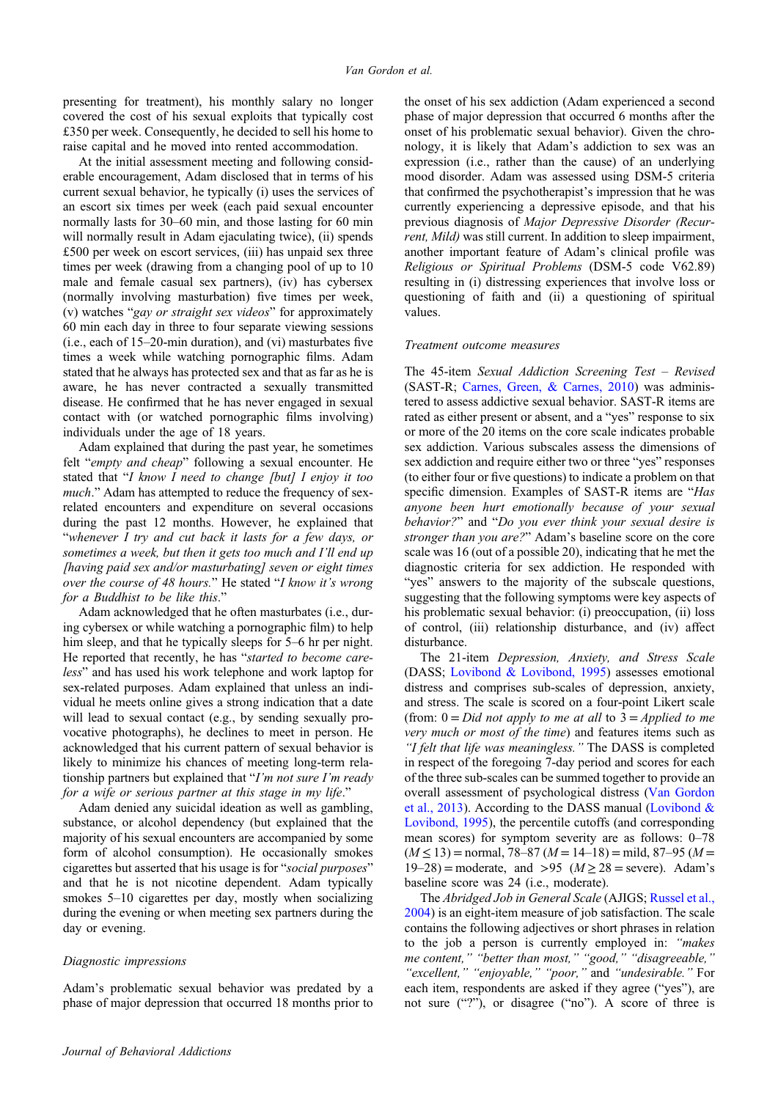presenting for treatment), his monthly salary no longer covered the cost of his sexual exploits that typically cost £350 per week. Consequently, he decided to sell his home to raise capital and he moved into rented accommodation.

At the initial assessment meeting and following considerable encouragement, Adam disclosed that in terms of his current sexual behavior, he typically (i) uses the services of an escort six times per week (each paid sexual encounter normally lasts for 30–60 min, and those lasting for 60 min will normally result in Adam ejaculating twice), (ii) spends £500 per week on escort services, (iii) has unpaid sex three times per week (drawing from a changing pool of up to 10 male and female casual sex partners), (iv) has cybersex (normally involving masturbation) five times per week, (v) watches "gay or straight sex videos" for approximately 60 min each day in three to four separate viewing sessions (i.e., each of 15–20-min duration), and (vi) masturbates five times a week while watching pornographic films. Adam stated that he always has protected sex and that as far as he is aware, he has never contracted a sexually transmitted disease. He confirmed that he has never engaged in sexual contact with (or watched pornographic films involving) individuals under the age of 18 years.

Adam explained that during the past year, he sometimes felt "empty and cheap" following a sexual encounter. He stated that "I know I need to change [but] I enjoy it too much." Adam has attempted to reduce the frequency of sexrelated encounters and expenditure on several occasions during the past 12 months. However, he explained that "whenever I try and cut back it lasts for a few days, or sometimes a week, but then it gets too much and I'll end up [having paid sex and/or masturbating] seven or eight times over the course of 48 hours." He stated "I know it's wrong for a Buddhist to be like this."

Adam acknowledged that he often masturbates (i.e., during cybersex or while watching a pornographic film) to help him sleep, and that he typically sleeps for 5–6 hr per night. He reported that recently, he has "started to become careless" and has used his work telephone and work laptop for sex-related purposes. Adam explained that unless an individual he meets online gives a strong indication that a date will lead to sexual contact (e.g., by sending sexually provocative photographs), he declines to meet in person. He acknowledged that his current pattern of sexual behavior is likely to minimize his chances of meeting long-term relationship partners but explained that "I'm not sure I'm ready for a wife or serious partner at this stage in my life."

Adam denied any suicidal ideation as well as gambling, substance, or alcohol dependency (but explained that the majority of his sexual encounters are accompanied by some form of alcohol consumption). He occasionally smokes cigarettes but asserted that his usage is for "social purposes" and that he is not nicotine dependent. Adam typically smokes 5–10 cigarettes per day, mostly when socializing during the evening or when meeting sex partners during the day or evening.

### Diagnostic impressions

Adam's problematic sexual behavior was predated by a phase of major depression that occurred 18 months prior to the onset of his sex addiction (Adam experienced a second phase of major depression that occurred 6 months after the onset of his problematic sexual behavior). Given the chronology, it is likely that Adam's addiction to sex was an expression (i.e., rather than the cause) of an underlying mood disorder. Adam was assessed using DSM-5 criteria that confirmed the psychotherapist's impression that he was currently experiencing a depressive episode, and that his previous diagnosis of Major Depressive Disorder (Recurrent, Mild) was still current. In addition to sleep impairment, another important feature of Adam's clinical profile was Religious or Spiritual Problems (DSM-5 code V62.89) resulting in (i) distressing experiences that involve loss or questioning of faith and (ii) a questioning of spiritual values.

#### Treatment outcome measures

The 45-item Sexual Addiction Screening Test – Revised (SAST-R; [Carnes, Green, & Carnes, 2010](#page-8-0)) was administered to assess addictive sexual behavior. SAST-R items are rated as either present or absent, and a "yes" response to six or more of the 20 items on the core scale indicates probable sex addiction. Various subscales assess the dimensions of sex addiction and require either two or three "yes" responses (to either four or five questions) to indicate a problem on that specific dimension. Examples of SAST-R items are "Has anyone been hurt emotionally because of your sexual behavior?" and "Do you ever think your sexual desire is stronger than you are?" Adam's baseline score on the core scale was 16 (out of a possible 20), indicating that he met the diagnostic criteria for sex addiction. He responded with "yes" answers to the majority of the subscale questions, suggesting that the following symptoms were key aspects of his problematic sexual behavior: (i) preoccupation, (ii) loss of control, (iii) relationship disturbance, and (iv) affect disturbance.

The 21-item Depression, Anxiety, and Stress Scale (DASS; [Lovibond & Lovibond, 1995](#page-9-0)) assesses emotional distress and comprises sub-scales of depression, anxiety, and stress. The scale is scored on a four-point Likert scale (from:  $0 = Did$  not apply to me at all to  $3 = Applied$  to me very much or most of the time) and features items such as "I felt that life was meaningless." The DASS is completed in respect of the foregoing 7-day period and scores for each of the three sub-scales can be summed together to provide an overall assessment of psychological distress [\(Van Gordon](#page-9-0) [et al., 2013\)](#page-9-0). According to the DASS manual ([Lovibond &](#page-9-0) [Lovibond, 1995\)](#page-9-0), the percentile cutoffs (and corresponding mean scores) for symptom severity are as follows: 0–78  $(M \le 13)$  = normal, 78–87  $(M = 14-18)$  = mild, 87–95  $(M = 14-18)$ 19–28) = moderate, and >95 ( $M \ge 28$  = severe). Adam's baseline score was 24 (i.e., moderate).

The Abridged Job in General Scale (AJIGS; [Russel et al.,](#page-9-0) [2004\)](#page-9-0) is an eight-item measure of job satisfaction. The scale contains the following adjectives or short phrases in relation to the job a person is currently employed in: "makes me content," "better than most," "good," "disagreeable," "excellent," "enjoyable," "poor," and "undesirable." For each item, respondents are asked if they agree ("yes"), are not sure ("?"), or disagree ("no"). A score of three is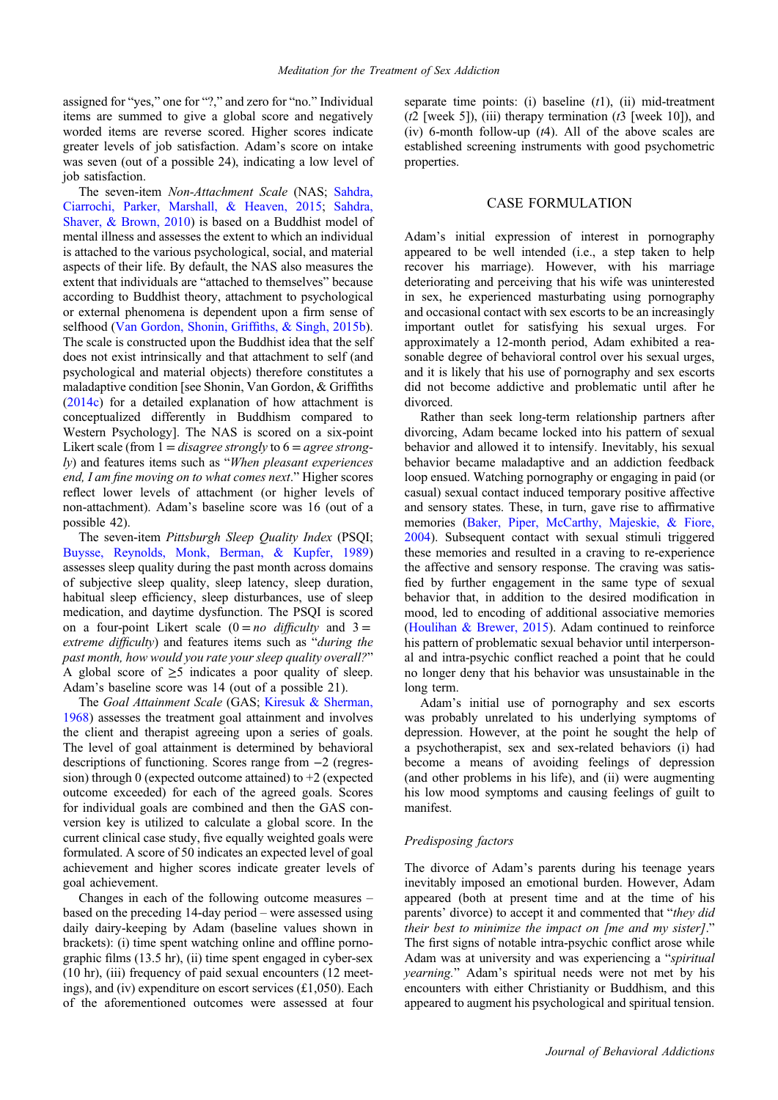assigned for "yes," one for "?," and zero for "no." Individual items are summed to give a global score and negatively worded items are reverse scored. Higher scores indicate greater levels of job satisfaction. Adam's score on intake was seven (out of a possible 24), indicating a low level of job satisfaction.

The seven-item Non-Attachment Scale (NAS; [Sahdra,](#page-9-0) [Ciarrochi, Parker, Marshall, & Heaven, 2015;](#page-9-0) [Sahdra,](#page-9-0) [Shaver, & Brown, 2010\)](#page-9-0) is based on a Buddhist model of mental illness and assesses the extent to which an individual is attached to the various psychological, social, and material aspects of their life. By default, the NAS also measures the extent that individuals are "attached to themselves" because according to Buddhist theory, attachment to psychological or external phenomena is dependent upon a firm sense of selfhood [\(Van Gordon, Shonin, Grif](#page-9-0)fiths, & Singh, 2015b). The scale is constructed upon the Buddhist idea that the self does not exist intrinsically and that attachment to self (and psychological and material objects) therefore constitutes a maladaptive condition [see Shonin, Van Gordon, & Griffiths [\(2014c\)](#page-9-0) for a detailed explanation of how attachment is conceptualized differently in Buddhism compared to Western Psychology]. The NAS is scored on a six-point Likert scale (from  $1 = disagree$  strongly to  $6 = agree$  strong $l$ <sub>y</sub>) and features items such as "When pleasant experiences" end, I am fine moving on to what comes next." Higher scores reflect lower levels of attachment (or higher levels of non-attachment). Adam's baseline score was 16 (out of a possible 42).

The seven-item Pittsburgh Sleep Quality Index (PSQI; [Buysse, Reynolds, Monk, Berman, & Kupfer, 1989](#page-8-0)) assesses sleep quality during the past month across domains of subjective sleep quality, sleep latency, sleep duration, habitual sleep efficiency, sleep disturbances, use of sleep medication, and daytime dysfunction. The PSQI is scored on a four-point Likert scale  $(0 = no \text{ difficulty and } 3 =$ extreme difficulty) and features items such as "during the past month, how would you rate your sleep quality overall?" A global score of  $\geq$ 5 indicates a poor quality of sleep. Adam's baseline score was 14 (out of a possible 21).

The Goal Attainment Scale (GAS; [Kiresuk & Sherman,](#page-9-0) [1968](#page-9-0)) assesses the treatment goal attainment and involves the client and therapist agreeing upon a series of goals. The level of goal attainment is determined by behavioral descriptions of functioning. Scores range from −2 (regression) through 0 (expected outcome attained) to +2 (expected outcome exceeded) for each of the agreed goals. Scores for individual goals are combined and then the GAS conversion key is utilized to calculate a global score. In the current clinical case study, five equally weighted goals were formulated. A score of 50 indicates an expected level of goal achievement and higher scores indicate greater levels of goal achievement.

Changes in each of the following outcome measures – based on the preceding 14-day period – were assessed using daily dairy-keeping by Adam (baseline values shown in brackets): (i) time spent watching online and offline pornographic films (13.5 hr), (ii) time spent engaged in cyber-sex (10 hr), (iii) frequency of paid sexual encounters (12 meetings), and (iv) expenditure on escort services (£1,050). Each of the aforementioned outcomes were assessed at four separate time points: (i) baseline  $(t1)$ , (ii) mid-treatment ( $t2$  [week 5]), (iii) therapy termination ( $t3$  [week 10]), and (iv) 6-month follow-up  $(t4)$ . All of the above scales are established screening instruments with good psychometric properties.

# CASE FORMULATION

Adam's initial expression of interest in pornography appeared to be well intended (i.e., a step taken to help recover his marriage). However, with his marriage deteriorating and perceiving that his wife was uninterested in sex, he experienced masturbating using pornography and occasional contact with sex escorts to be an increasingly important outlet for satisfying his sexual urges. For approximately a 12-month period, Adam exhibited a reasonable degree of behavioral control over his sexual urges, and it is likely that his use of pornography and sex escorts did not become addictive and problematic until after he divorced.

Rather than seek long-term relationship partners after divorcing, Adam became locked into his pattern of sexual behavior and allowed it to intensify. Inevitably, his sexual behavior became maladaptive and an addiction feedback loop ensued. Watching pornography or engaging in paid (or casual) sexual contact induced temporary positive affective and sensory states. These, in turn, gave rise to affirmative memories [\(Baker, Piper, McCarthy, Majeskie, & Fiore,](#page-8-0) [2004\)](#page-8-0). Subsequent contact with sexual stimuli triggered these memories and resulted in a craving to re-experience the affective and sensory response. The craving was satisfied by further engagement in the same type of sexual behavior that, in addition to the desired modification in mood, led to encoding of additional associative memories ([Houlihan & Brewer, 2015](#page-9-0)). Adam continued to reinforce his pattern of problematic sexual behavior until interpersonal and intra-psychic conflict reached a point that he could no longer deny that his behavior was unsustainable in the long term.

Adam's initial use of pornography and sex escorts was probably unrelated to his underlying symptoms of depression. However, at the point he sought the help of a psychotherapist, sex and sex-related behaviors (i) had become a means of avoiding feelings of depression (and other problems in his life), and (ii) were augmenting his low mood symptoms and causing feelings of guilt to manifest.

#### Predisposing factors

The divorce of Adam's parents during his teenage years inevitably imposed an emotional burden. However, Adam appeared (both at present time and at the time of his parents' divorce) to accept it and commented that "they did their best to minimize the impact on [me and my sister]." The first signs of notable intra-psychic conflict arose while Adam was at university and was experiencing a "spiritual yearning." Adam's spiritual needs were not met by his encounters with either Christianity or Buddhism, and this appeared to augment his psychological and spiritual tension.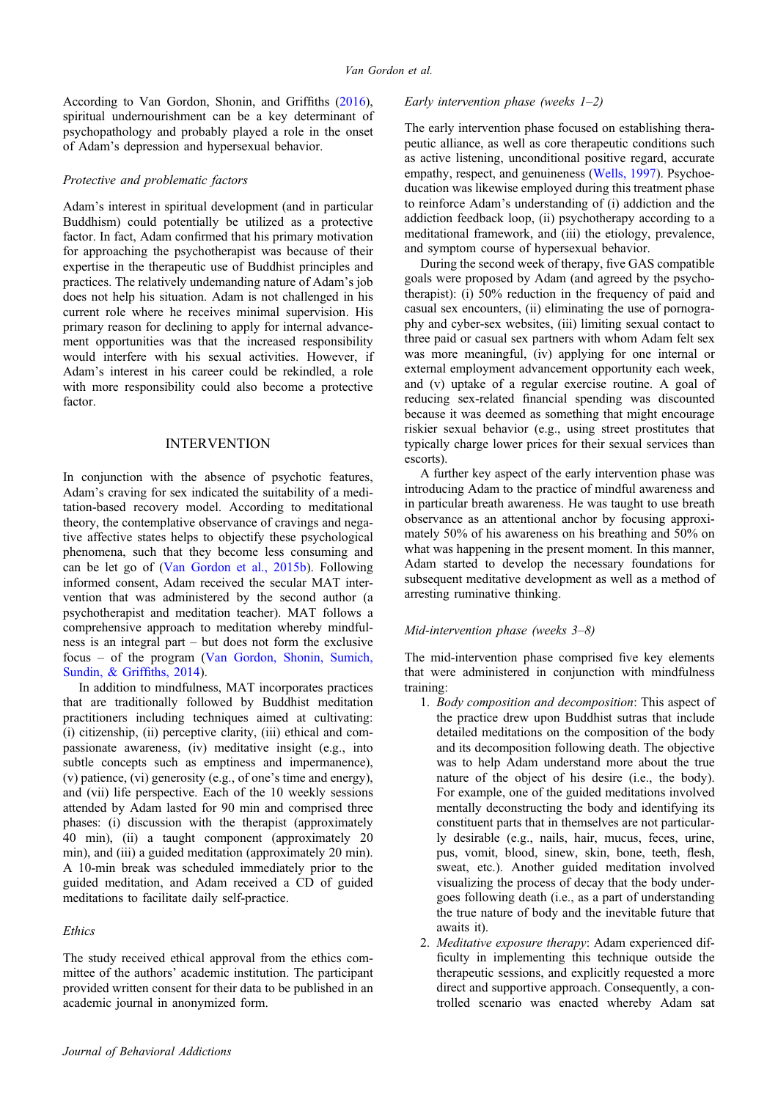According to Van Gordon, Shonin, and Griffiths ([2016\)](#page-9-0), spiritual undernourishment can be a key determinant of psychopathology and probably played a role in the onset of Adam's depression and hypersexual behavior.

# Protective and problematic factors

Adam's interest in spiritual development (and in particular Buddhism) could potentially be utilized as a protective factor. In fact, Adam confirmed that his primary motivation for approaching the psychotherapist was because of their expertise in the therapeutic use of Buddhist principles and practices. The relatively undemanding nature of Adam's job does not help his situation. Adam is not challenged in his current role where he receives minimal supervision. His primary reason for declining to apply for internal advancement opportunities was that the increased responsibility would interfere with his sexual activities. However, if Adam's interest in his career could be rekindled, a role with more responsibility could also become a protective factor.

## INTERVENTION

In conjunction with the absence of psychotic features, Adam's craving for sex indicated the suitability of a meditation-based recovery model. According to meditational theory, the contemplative observance of cravings and negative affective states helps to objectify these psychological phenomena, such that they become less consuming and can be let go of [\(Van Gordon et al., 2015b\)](#page-9-0). Following informed consent, Adam received the secular MAT intervention that was administered by the second author (a psychotherapist and meditation teacher). MAT follows a comprehensive approach to meditation whereby mindfulness is an integral part – but does not form the exclusive focus – of the program [\(Van Gordon, Shonin, Sumich,](#page-9-0) [Sundin, & Grif](#page-9-0)fiths, 2014).

In addition to mindfulness, MAT incorporates practices that are traditionally followed by Buddhist meditation practitioners including techniques aimed at cultivating: (i) citizenship, (ii) perceptive clarity, (iii) ethical and compassionate awareness, (iv) meditative insight (e.g., into subtle concepts such as emptiness and impermanence), (v) patience, (vi) generosity (e.g., of one's time and energy), and (vii) life perspective. Each of the 10 weekly sessions attended by Adam lasted for 90 min and comprised three phases: (i) discussion with the therapist (approximately 40 min), (ii) a taught component (approximately 20 min), and (iii) a guided meditation (approximately 20 min). A 10-min break was scheduled immediately prior to the guided meditation, and Adam received a CD of guided meditations to facilitate daily self-practice.

## Ethics

The study received ethical approval from the ethics committee of the authors' academic institution. The participant provided written consent for their data to be published in an academic journal in anonymized form.

#### Early intervention phase (weeks  $1-2$ )

The early intervention phase focused on establishing therapeutic alliance, as well as core therapeutic conditions such as active listening, unconditional positive regard, accurate empathy, respect, and genuineness ([Wells, 1997](#page-9-0)). Psychoeducation was likewise employed during this treatment phase to reinforce Adam's understanding of (i) addiction and the addiction feedback loop, (ii) psychotherapy according to a meditational framework, and (iii) the etiology, prevalence, and symptom course of hypersexual behavior.

During the second week of therapy, five GAS compatible goals were proposed by Adam (and agreed by the psychotherapist): (i) 50% reduction in the frequency of paid and casual sex encounters, (ii) eliminating the use of pornography and cyber-sex websites, (iii) limiting sexual contact to three paid or casual sex partners with whom Adam felt sex was more meaningful, (iv) applying for one internal or external employment advancement opportunity each week, and (v) uptake of a regular exercise routine. A goal of reducing sex-related financial spending was discounted because it was deemed as something that might encourage riskier sexual behavior (e.g., using street prostitutes that typically charge lower prices for their sexual services than escorts).

A further key aspect of the early intervention phase was introducing Adam to the practice of mindful awareness and in particular breath awareness. He was taught to use breath observance as an attentional anchor by focusing approximately 50% of his awareness on his breathing and 50% on what was happening in the present moment. In this manner, Adam started to develop the necessary foundations for subsequent meditative development as well as a method of arresting ruminative thinking.

#### Mid-intervention phase (weeks 3–8)

The mid-intervention phase comprised five key elements that were administered in conjunction with mindfulness training:

- 1. Body composition and decomposition: This aspect of the practice drew upon Buddhist sutras that include detailed meditations on the composition of the body and its decomposition following death. The objective was to help Adam understand more about the true nature of the object of his desire (i.e., the body). For example, one of the guided meditations involved mentally deconstructing the body and identifying its constituent parts that in themselves are not particularly desirable (e.g., nails, hair, mucus, feces, urine, pus, vomit, blood, sinew, skin, bone, teeth, flesh, sweat, etc.). Another guided meditation involved visualizing the process of decay that the body undergoes following death (i.e., as a part of understanding the true nature of body and the inevitable future that awaits it).
- 2. Meditative exposure therapy: Adam experienced difficulty in implementing this technique outside the therapeutic sessions, and explicitly requested a more direct and supportive approach. Consequently, a controlled scenario was enacted whereby Adam sat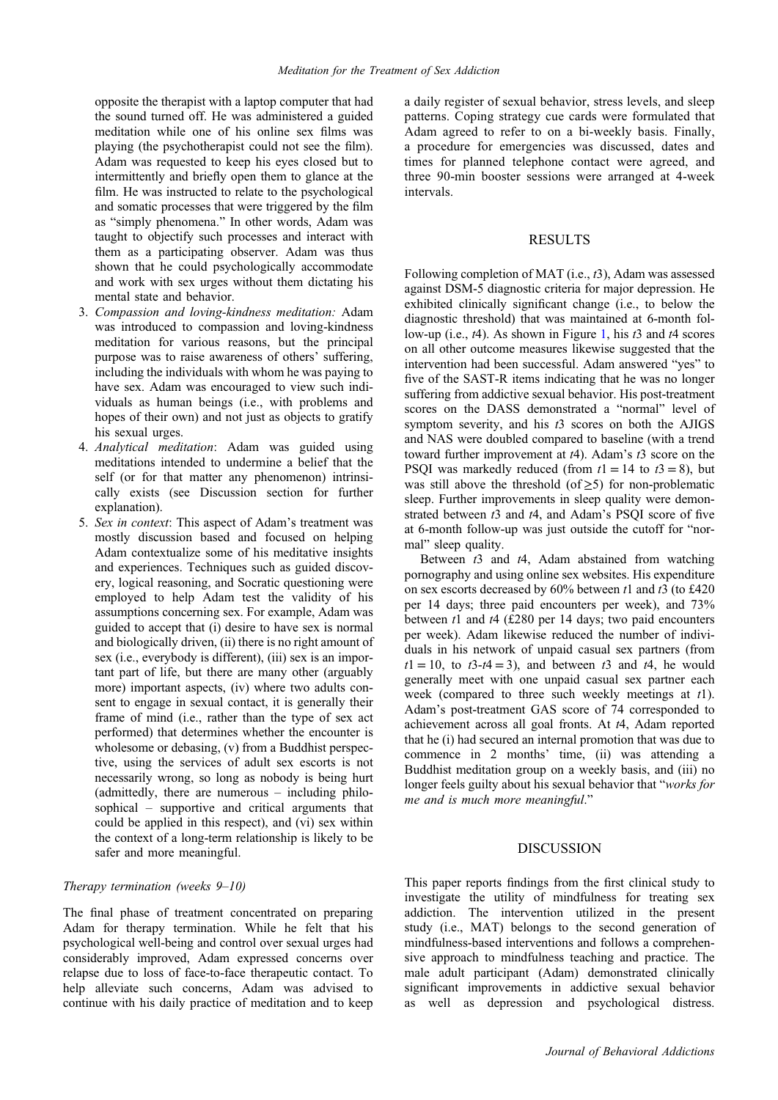opposite the therapist with a laptop computer that had the sound turned off. He was administered a guided meditation while one of his online sex films was playing (the psychotherapist could not see the film). Adam was requested to keep his eyes closed but to intermittently and briefly open them to glance at the film. He was instructed to relate to the psychological and somatic processes that were triggered by the film as "simply phenomena." In other words, Adam was taught to objectify such processes and interact with them as a participating observer. Adam was thus shown that he could psychologically accommodate and work with sex urges without them dictating his mental state and behavior.

- 3. Compassion and loving-kindness meditation: Adam was introduced to compassion and loving-kindness meditation for various reasons, but the principal purpose was to raise awareness of others' suffering, including the individuals with whom he was paying to have sex. Adam was encouraged to view such individuals as human beings (i.e., with problems and hopes of their own) and not just as objects to gratify his sexual urges.
- 4. Analytical meditation: Adam was guided using meditations intended to undermine a belief that the self (or for that matter any phenomenon) intrinsically exists (see Discussion section for further explanation).
- 5. Sex in context: This aspect of Adam's treatment was mostly discussion based and focused on helping Adam contextualize some of his meditative insights and experiences. Techniques such as guided discovery, logical reasoning, and Socratic questioning were employed to help Adam test the validity of his assumptions concerning sex. For example, Adam was guided to accept that (i) desire to have sex is normal and biologically driven, (ii) there is no right amount of sex (i.e., everybody is different), (iii) sex is an important part of life, but there are many other (arguably more) important aspects, (iv) where two adults consent to engage in sexual contact, it is generally their frame of mind (i.e., rather than the type of sex act performed) that determines whether the encounter is wholesome or debasing, (v) from a Buddhist perspective, using the services of adult sex escorts is not necessarily wrong, so long as nobody is being hurt (admittedly, there are numerous – including philosophical – supportive and critical arguments that could be applied in this respect), and (vi) sex within the context of a long-term relationship is likely to be safer and more meaningful.

## Therapy termination (weeks 9–10)

The final phase of treatment concentrated on preparing Adam for therapy termination. While he felt that his psychological well-being and control over sexual urges had considerably improved, Adam expressed concerns over relapse due to loss of face-to-face therapeutic contact. To help alleviate such concerns, Adam was advised to continue with his daily practice of meditation and to keep

a daily register of sexual behavior, stress levels, and sleep patterns. Coping strategy cue cards were formulated that Adam agreed to refer to on a bi-weekly basis. Finally, a procedure for emergencies was discussed, dates and times for planned telephone contact were agreed, and three 90-min booster sessions were arranged at 4-week intervals.

# RESULTS

Following completion of MAT (i.e., t3), Adam was assessed against DSM-5 diagnostic criteria for major depression. He exhibited clinically significant change (i.e., to below the diagnostic threshold) that was maintained at 6-month follow-up (i.e.,  $t4$ ). As shown in Figure [1](#page-7-0), his  $t3$  and  $t4$  scores on all other outcome measures likewise suggested that the intervention had been successful. Adam answered "yes" to five of the SAST-R items indicating that he was no longer suffering from addictive sexual behavior. His post-treatment scores on the DASS demonstrated a "normal" level of symptom severity, and his  $t3$  scores on both the AJIGS and NAS were doubled compared to baseline (with a trend toward further improvement at  $t4$ ). Adam's  $t3$  score on the PSQI was markedly reduced (from  $t1 = 14$  to  $t3 = 8$ ), but was still above the threshold (of  $\geq$ 5) for non-problematic sleep. Further improvements in sleep quality were demonstrated between  $t3$  and  $t4$ , and Adam's PSQI score of five at 6-month follow-up was just outside the cutoff for "normal" sleep quality.

Between  $t3$  and  $t4$ , Adam abstained from watching pornography and using online sex websites. His expenditure on sex escorts decreased by  $60\%$  between t1 and t3 (to £420) per 14 days; three paid encounters per week), and 73% between  $t_1$  and  $t_4$  (£280 per 14 days; two paid encounters per week). Adam likewise reduced the number of individuals in his network of unpaid casual sex partners (from  $t1 = 10$ , to  $t3-t4 = 3$ ), and between  $t3$  and  $t4$ , he would generally meet with one unpaid casual sex partner each week (compared to three such weekly meetings at  $t$ 1). Adam's post-treatment GAS score of 74 corresponded to achievement across all goal fronts. At t4, Adam reported that he (i) had secured an internal promotion that was due to commence in 2 months' time, (ii) was attending a Buddhist meditation group on a weekly basis, and (iii) no longer feels guilty about his sexual behavior that "works for me and is much more meaningful."

# **DISCUSSION**

This paper reports findings from the first clinical study to investigate the utility of mindfulness for treating sex addiction. The intervention utilized in the present study (i.e., MAT) belongs to the second generation of mindfulness-based interventions and follows a comprehensive approach to mindfulness teaching and practice. The male adult participant (Adam) demonstrated clinically significant improvements in addictive sexual behavior as well as depression and psychological distress.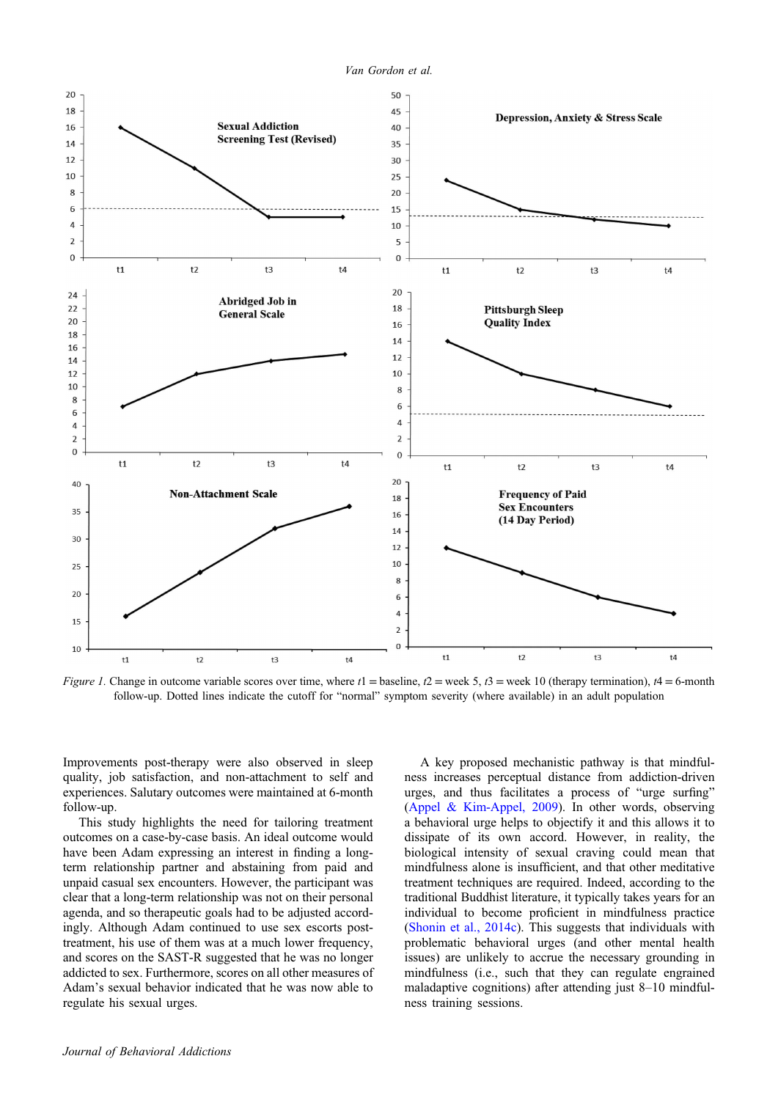<span id="page-7-0"></span>

Van Gordon et al.

Figure 1. Change in outcome variable scores over time, where  $t_1$  = baseline,  $t_2$  = week 5,  $t_3$  = week 10 (therapy termination),  $t_4$  = 6-month follow-up. Dotted lines indicate the cutoff for "normal" symptom severity (where available) in an adult population

Improvements post-therapy were also observed in sleep quality, job satisfaction, and non-attachment to self and experiences. Salutary outcomes were maintained at 6-month follow-up.

This study highlights the need for tailoring treatment outcomes on a case-by-case basis. An ideal outcome would have been Adam expressing an interest in finding a longterm relationship partner and abstaining from paid and unpaid casual sex encounters. However, the participant was clear that a long-term relationship was not on their personal agenda, and so therapeutic goals had to be adjusted accordingly. Although Adam continued to use sex escorts posttreatment, his use of them was at a much lower frequency, and scores on the SAST-R suggested that he was no longer addicted to sex. Furthermore, scores on all other measures of Adam's sexual behavior indicated that he was now able to regulate his sexual urges.

A key proposed mechanistic pathway is that mindfulness increases perceptual distance from addiction-driven urges, and thus facilitates a process of "urge surfing" ([Appel & Kim-Appel, 2009](#page-8-0)). In other words, observing a behavioral urge helps to objectify it and this allows it to dissipate of its own accord. However, in reality, the biological intensity of sexual craving could mean that mindfulness alone is insufficient, and that other meditative treatment techniques are required. Indeed, according to the traditional Buddhist literature, it typically takes years for an individual to become proficient in mindfulness practice ([Shonin et al., 2014c](#page-9-0)). This suggests that individuals with problematic behavioral urges (and other mental health issues) are unlikely to accrue the necessary grounding in mindfulness (i.e., such that they can regulate engrained maladaptive cognitions) after attending just 8–10 mindfulness training sessions.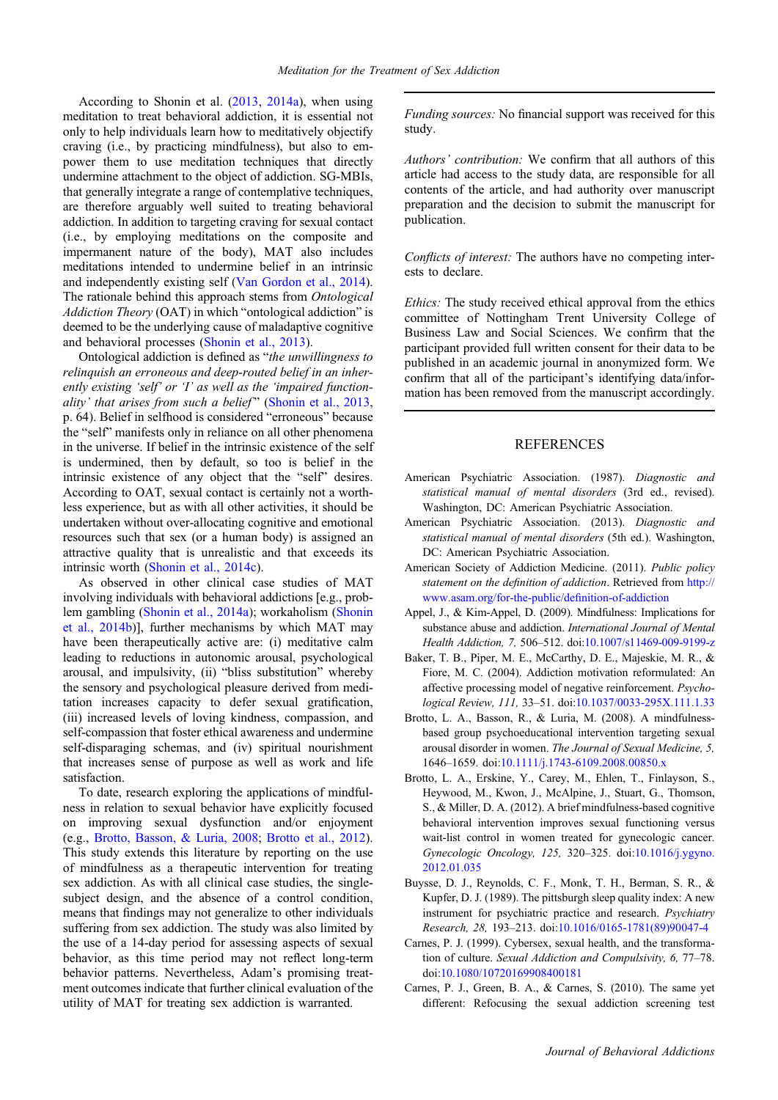<span id="page-8-0"></span>According to Shonin et al. ([2013,](#page-9-0) [2014a\)](#page-9-0), when using meditation to treat behavioral addiction, it is essential not only to help individuals learn how to meditatively objectify craving (i.e., by practicing mindfulness), but also to empower them to use meditation techniques that directly undermine attachment to the object of addiction. SG-MBIs, that generally integrate a range of contemplative techniques, are therefore arguably well suited to treating behavioral addiction. In addition to targeting craving for sexual contact (i.e., by employing meditations on the composite and impermanent nature of the body), MAT also includes meditations intended to undermine belief in an intrinsic and independently existing self ([Van Gordon et al., 2014\)](#page-9-0). The rationale behind this approach stems from *Ontological* Addiction Theory (OAT) in which "ontological addiction" is deemed to be the underlying cause of maladaptive cognitive and behavioral processes [\(Shonin et al., 2013](#page-9-0)).

Ontological addiction is defined as "the unwillingness to relinquish an erroneous and deep-routed belief in an inherently existing 'self' or 'I' as well as the 'impaired function-ality' that arises from such a belief" [\(Shonin et al., 2013](#page-9-0), p. 64). Belief in selfhood is considered "erroneous" because the "self" manifests only in reliance on all other phenomena in the universe. If belief in the intrinsic existence of the self is undermined, then by default, so too is belief in the intrinsic existence of any object that the "self" desires. According to OAT, sexual contact is certainly not a worthless experience, but as with all other activities, it should be undertaken without over-allocating cognitive and emotional resources such that sex (or a human body) is assigned an attractive quality that is unrealistic and that exceeds its intrinsic worth ([Shonin et al., 2014c](#page-9-0)).

As observed in other clinical case studies of MAT involving individuals with behavioral addictions [e.g., problem gambling ([Shonin et al., 2014a](#page-9-0)); workaholism [\(Shonin](#page-9-0) [et al., 2014b](#page-9-0))], further mechanisms by which MAT may have been therapeutically active are: (i) meditative calm leading to reductions in autonomic arousal, psychological arousal, and impulsivity, (ii) "bliss substitution" whereby the sensory and psychological pleasure derived from meditation increases capacity to defer sexual gratification, (iii) increased levels of loving kindness, compassion, and self-compassion that foster ethical awareness and undermine self-disparaging schemas, and (iv) spiritual nourishment that increases sense of purpose as well as work and life satisfaction.

To date, research exploring the applications of mindfulness in relation to sexual behavior have explicitly focused on improving sexual dysfunction and/or enjoyment (e.g., Brotto, Basson, & Luria, 2008; Brotto et al., 2012). This study extends this literature by reporting on the use of mindfulness as a therapeutic intervention for treating sex addiction. As with all clinical case studies, the singlesubject design, and the absence of a control condition, means that findings may not generalize to other individuals suffering from sex addiction. The study was also limited by the use of a 14-day period for assessing aspects of sexual behavior, as this time period may not reflect long-term behavior patterns. Nevertheless, Adam's promising treatment outcomes indicate that further clinical evaluation of the utility of MAT for treating sex addiction is warranted.

Funding sources: No financial support was received for this study.

Authors' contribution: We confirm that all authors of this article had access to the study data, are responsible for all contents of the article, and had authority over manuscript preparation and the decision to submit the manuscript for publication.

Conflicts of interest: The authors have no competing interests to declare.

Ethics: The study received ethical approval from the ethics committee of Nottingham Trent University College of Business Law and Social Sciences. We confirm that the participant provided full written consent for their data to be published in an academic journal in anonymized form. We confirm that all of the participant's identifying data/information has been removed from the manuscript accordingly.

# **REFERENCES**

- American Psychiatric Association. (1987). Diagnostic and statistical manual of mental disorders (3rd ed., revised). Washington, DC: American Psychiatric Association.
- American Psychiatric Association. (2013). Diagnostic and statistical manual of mental disorders (5th ed.). Washington, DC: American Psychiatric Association.
- American Society of Addiction Medicine. (2011). Public policy statement on the definition of addiction. Retrieved from [http://](http://www.asam.org/for-the-public/definition-of-addiction) [www.asam.org/for-the-public/de](http://www.asam.org/for-the-public/definition-of-addiction)finition-of-addiction
- Appel, J., & Kim-Appel, D. (2009). Mindfulness: Implications for substance abuse and addiction. International Journal of Mental Health Addiction, 7, 506–512. doi:[10.1007/s11469-009-9199-z](http://dx.doi.org/10.1007/s11469-009-9199-z)
- Baker, T. B., Piper, M. E., McCarthy, D. E., Majeskie, M. R., & Fiore, M. C. (2004). Addiction motivation reformulated: An affective processing model of negative reinforcement. Psychological Review, 111, 33–51. doi:[10.1037/0033-295X.111.1.33](http://dx.doi.org/10.1037/0033-295X.111.1.33)
- Brotto, L. A., Basson, R., & Luria, M. (2008). A mindfulnessbased group psychoeducational intervention targeting sexual arousal disorder in women. The Journal of Sexual Medicine, 5, 1646–1659. doi[:10.1111/j.1743-6109.2008.00850.x](http://dx.doi.org/10.1111/j.1743-6109.2008.00850.x)
- Brotto, L. A., Erskine, Y., Carey, M., Ehlen, T., Finlayson, S., Heywood, M., Kwon, J., McAlpine, J., Stuart, G., Thomson, S., & Miller, D. A. (2012). A brief mindfulness-based cognitive behavioral intervention improves sexual functioning versus wait-list control in women treated for gynecologic cancer. Gynecologic Oncology, 125, 320–325. doi:[10.1016/j.ygyno.](http://dx.doi.org/10.1016/j.ygyno.2012.01.035) [2012.01.035](http://dx.doi.org/10.1016/j.ygyno.2012.01.035)
- Buysse, D. J., Reynolds, C. F., Monk, T. H., Berman, S. R., & Kupfer, D. J. (1989). The pittsburgh sleep quality index: A new instrument for psychiatric practice and research. Psychiatry Research, 28, 193–213. doi[:10.1016/0165-1781\(89\)90047-4](http://dx.doi.org/10.1016/0165-1781(89)90047-4)
- Carnes, P. J. (1999). Cybersex, sexual health, and the transformation of culture. Sexual Addiction and Compulsivity, 6, 77–78. doi[:10.1080/10720169908400181](http://dx.doi.org/10.1080/10720169908400181)
- Carnes, P. J., Green, B. A., & Carnes, S. (2010). The same yet different: Refocusing the sexual addiction screening test